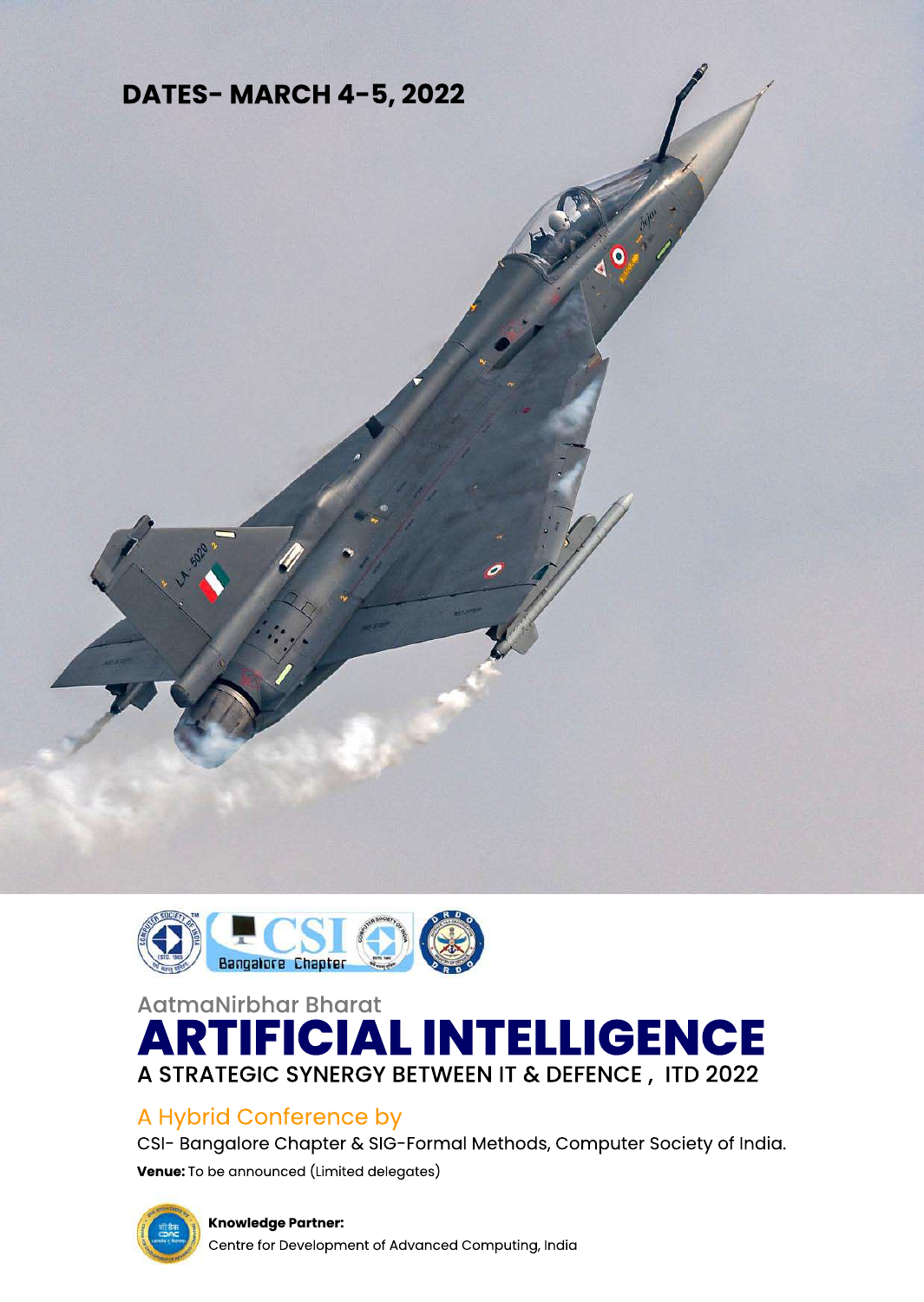# **DATES-MARCH4-5,2022**



O



# AatmaNirbhar Bharat **ARTIFICIALINTELLIGENCE** A STRATEGIC SYNERGY BETWEEN IT & DEFENCE, ITD 2022

# A Hybrid Conference by

CSI- Bangalore Chapter & SIG-Formal Methods, Computer Society of India.

**Venue:** To be announced (Limited delegates)



**SO2** 

**Knowledge Partner:** 

Centre for Development of Advanced Computing, India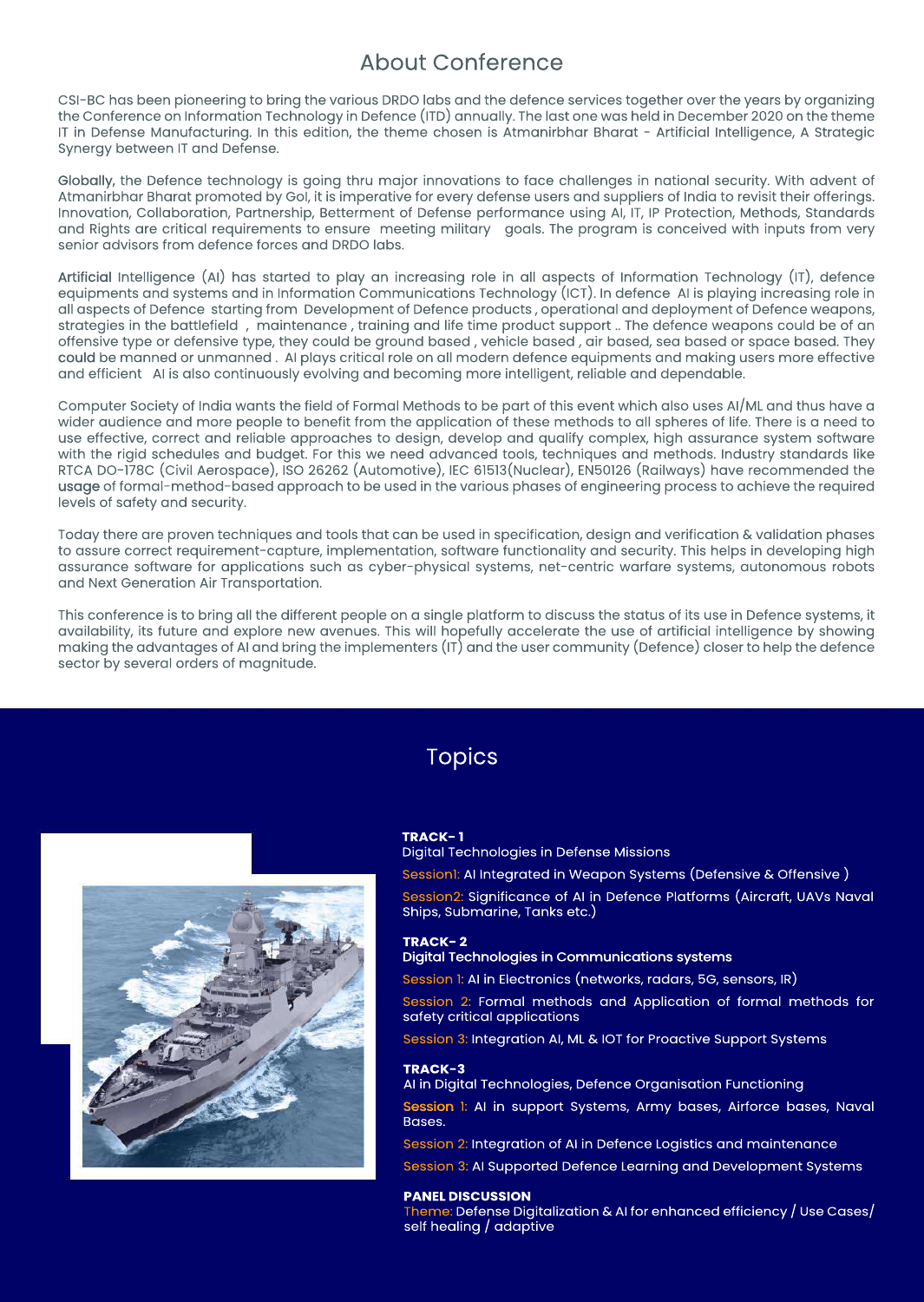## **About Conference**

CSI-BC has been pioneering to bring the various DRDO labs and the defence services together over the years by organizing the Conference on Information Technology in Defence (ITD) annually. The last one was held in December 2020 on the theme IT in Defense Manufacturing. In this edition, the theme chosen is Atmanirbhar Bharat - Artificial Intelligence, A Strategic Synergy between IT and Defense.

Globally, the Defence technology is going thru major innovations to face challenges in national security. With advent of Atmanirbhar Bharat promoted by Gol, it is imperative for every defense users and suppliers of India to revisit their offerings. Innovation, Collaboration, Partnership, Betterment of Defense performance using AI, IT, IP Protection, Methods, Standards and Rights are critical requirements to ensure meeting military goals. The program is conceived with inputs from very senior advisors from defence forces and DRDO labs.

Artificial Intelligence (AI) has started to play an increasing role in all aspects of Information Technology (IT), defence equipments and systems and in Information Communications Technology (ICT). In defence AI is playing increasing role in all aspects of Defence starting from Development of Defence products, operational and deployment of Defence weapons, strategies in the battlefield, maintenance, training and life time product support.. The defence weapons could be of an offensive type or defensive type, they could be ground based, vehicle based, air based, sea based or space based. They could be manned or unmanned. AI plays critical role on all modern defence equipments and making users more effective and efficient AI is also continuously evolving and becoming more intelligent, reliable and dependable.

Computer Society of India wants the field of Formal Methods to be part of this event which also uses AI/ML and thus have a wider audience and more people to benefit from the application of these methods to all spheres of life. There is a need to use effective, correct and reliable approaches to design, develop and qualify complex, high assurance system software with the rigid schedules and budget. For this we need advanced tools, techniques and methods. Industry standards like RTCA DO-178C (Civil Aerospace), ISO 26262 (Automotive), IEC 61513(Nuclear), EN50126 (Railways) have recommended the usage of formal-method-based approach to be used in the various phases of engineering process to achieve the required levels of safety and security.

Today there are proven techniques and tools that can be used in specification, design and verification & validation phases to assure correct requirement-capture, implementation, software functionality and security. This helps in developing high assurance software for applications such as cyber-physical systems, net-centric warfare systems, autonomous robots and Next Generation Air Transportation.

This conference is to bring all the different people on a single platform to discuss the status of its use in Defence systems, it availability, its future and explore new avenues. This will hopefully accelerate the use of artificial intelligence by showing making the advantages of AI and bring the implementers (IT) and the user community (Defence) closer to help the defence sector by several orders of magnitude.

> **TRACK-1** Digital Technologies in Defense Missions Session1: AI Integrated in Weapon Systems (Defensive & Offensive) Session2: Significance of AI in Defence Platforms (Aircraft, UAVs Naval Ships, Submarine, Tanks etc.)

**TRACK-2** Digital Technologies in Communications systems

Session 1: AI in Electronics (networks, radars, 5G, sensors, IR)

Session 2: Formal methods and Application of formal methods for safety critical applications

Session 3: Integration AI, ML & IOT for Proactive Support Systems

### **TRACK-3**

AI in Digital Technologies, Defence Organisation Functioning

Session 1: AI in support Systems, Army bases, Airforce bases, Naval Bases.

Session 2: Integration of AI in Defence Logistics and maintenance

Session 3: AI Supported Defence Learning and Development Systems

### **PANEL DISCUSSION**

Theme: Defense Digitalization & AI for enhanced efficiency / Use Cases/ self healing / adaptive

# Topics

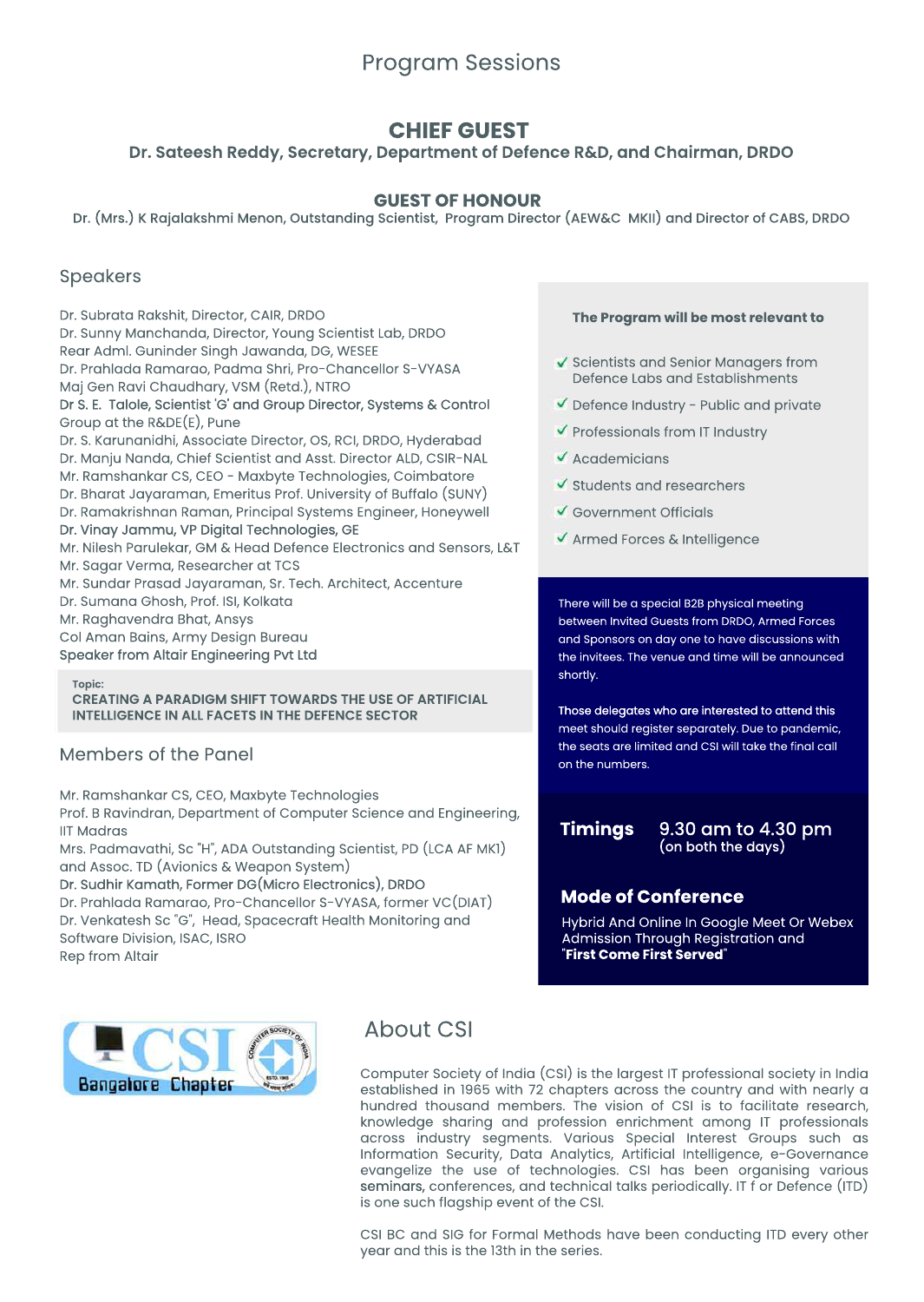## Program Sessions

### Speakers

Dr. Subrata Rakshit, Director, CAIR, DRDO

Dr. Sunny Manchanda, Director, Young Scientist Lab, DRDO

Rear Adml. Guninder Singh Jawanda, DG, WESEE

Dr. Prahlada Ramarao, Padma Shri, Pro-Chancellor S-VYASA

Maj Gen Ravi Chaudhary, VSM (Retd.), NTRO

Dr S. E. Talole, Scientist 'G' and Group Director, Systems & Control Group at the  $R\&DE(E)$ , Pune

Dr. S. Karunanidhi, Associate Director, OS, RCI, DRDO, Hyderabad

- Dr. Manju Nanda, Chief Scientist and Asst. Director ALD, CSIR-NAL
- Mr. Ramshankar CS, CEO Maxbyte Technologies, Coimbatore
- Dr. Bharat Jayaraman, Emeritus Prof. University of Buffalo (SUNY)
- Dr. Ramakrishnan Raman, Principal Systems Engineer, Honeywell
- Dr. Vinay Jammu, VP Digital Technologies, GE
- Mr. Nilesh Parulekar, GM & Head Defence Electronics and Sensors, L&T Mr. Sagar Verma, Researcher at TCS
- Mr. Sundar Prasad Jayaraman, Sr. Tech. Architect, Accenture
- Dr. Sumana Ghosh, Prof. ISI, Kolkata

Mr. Raghavendra Bhat, Ansys

- Col Aman Bains, Army Design Bureau
- Speaker from Altair Engineering Pvt Ltd

# **The Program will be most relevant to** Scientists and Senior Managers from Defence Labs and Establishments  $\blacktriangleright$  Defence Industry - Public and private  $\blacktriangledown$  Professionals from IT Industry Academicians  $\blacktriangledown$  Students and researchers Government Officials **V** Armed Forces & Intelligence

There will be a special B2B physical meeting between Invited Guests from DRDO, Armed Forces and Sponsors on day one to have discussions with the invitees. The venue and time will be announced

### **Topic: CREATING A PARADIGM SHIFT TOWARDS THE USE OF ARTIFICIAL INTELLIGENCE IN ALL FACETS IN THE DEFENCE SECTOR**

### Members of the Panel

Mr. Ramshankar CS, CEO, Maxbyte Technologies Prof. B Ravindran, Department of Computer Science and Engineering, **IIT Madras** Mrs. Padmavathi, Sc "H", ADA Outstanding Scientist, PD (LCA AF MK1) and Assoc. TD (Avionics & Weapon System) Dr. Sudhir Kamath, Former DG(Micro Electronics), DRDO Dr. Prahlada Ramarao, Pro-Chancellor S-VYASA, former VC(DIAT) Dr. Venkatesh Sc "G", Head, Spacecraft Health Monitoring and Software Division, ISAC, ISRO **Rep from Altair** 

#### 9.30 am to 4.30 pm (on both the days) **Timings**

## **Mode of Conference**

Hybrid And Online In Google Meet Or Webex Admission Through Registration and "**First Come First Served**"



## **About CSI**

Computer Society of India (CSI) is the largest IT professional society in India established in 1965 with 72 chapters across the country and with nearly a hundred thousand members. The vision of CSI is to facilitate research, knowledge sharing and profession enrichment among IT professionals across industry segments. Various Special Interest Groups such as Information Security, Data Analytics, Artificial Intelligence, e-Governance evangelize the use of technologies. CSI has been organising various seminars, conferences, and technical talks periodically. IT f or Defence (ITD) is one such flagship event of the CSI.

CSI BC and SIG for Formal Methods have been conducting ITD every other year and this is the 13th in the series.

### **GUESTOFHONOUR**

Dr. (Mrs.) K Rajalakshmi Menon, Outstanding Scientist, Program Director (AEW&C MKII) and Director of CABS, DRDO

## **CHIEFGUEST**

### **Dr. Sateesh Reddy, Secretary, Department of Defence R&D, and Chairman, DRDO**

#### shortly.

Those delegates who are interested to attend this meet should register separately. Due to pandemic, the seats are limited and CSI will take the final call on the numbers.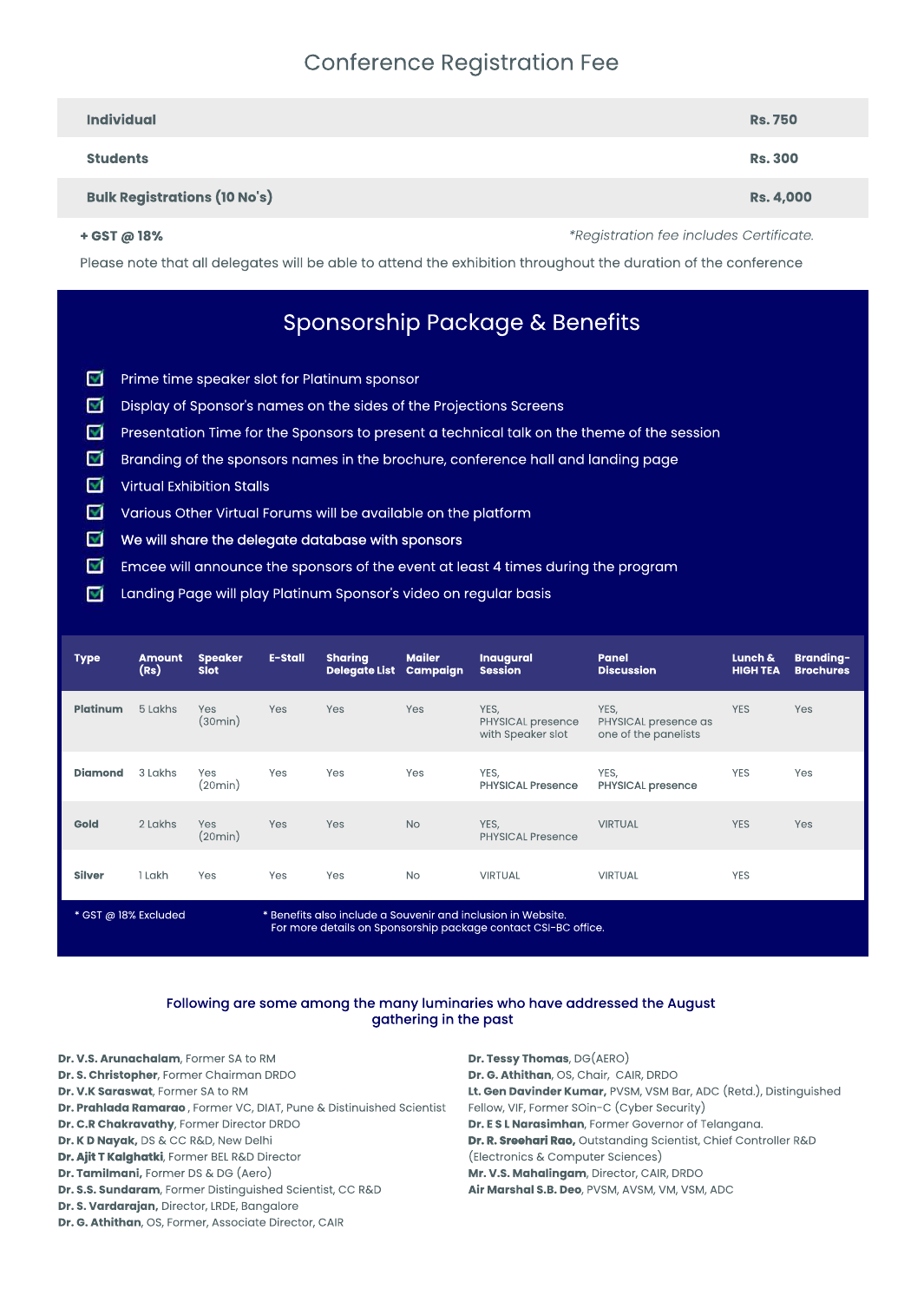**Type**

**Amount Speaker**

**Dr. G. Athithan**, OS, Former, Associate Director, CAIR

**E-Stall**

**Sharing Mailer**

|                      | (Rs)    | <b>Slot</b>           |                                                                                                                                | Delegate List Campaign |            | <b>Session</b>                                        | <b>Discussion</b>                                    | <b>HIGH TEA</b> | <b>Brochures</b> |  |
|----------------------|---------|-----------------------|--------------------------------------------------------------------------------------------------------------------------------|------------------------|------------|-------------------------------------------------------|------------------------------------------------------|-----------------|------------------|--|
| <b>Platinum</b>      | 5 Lakhs | Yes<br>(30min)        | <b>Yes</b>                                                                                                                     | <b>Yes</b>             | <b>Yes</b> | YES,<br><b>PHYSICAL presence</b><br>with Speaker slot | YES,<br>PHYSICAL presence as<br>one of the panelists | <b>YES</b>      | <b>Yes</b>       |  |
| <b>Diamond</b>       | 3 Lakhs | Yes<br>(20min)        | Yes                                                                                                                            | Yes                    | Yes        | YES,<br><b>PHYSICAL Presence</b>                      | YES,<br><b>PHYSICAL presence</b>                     | <b>YES</b>      | Yes              |  |
| <b>Gold</b>          | 2 Lakhs | <b>Yes</b><br>(20min) | Yes                                                                                                                            | <b>Yes</b>             | <b>No</b>  | YES,<br><b>PHYSICAL Presence</b>                      | <b>VIRTUAL</b>                                       | <b>YES</b>      | <b>Yes</b>       |  |
| <b>Silver</b>        | 1 Lakh  | <b>Yes</b>            | Yes                                                                                                                            | <b>Yes</b>             | <b>No</b>  | <b>VIRTUAL</b>                                        | <b>VIRTUAL</b>                                       | <b>YES</b>      |                  |  |
| * GST @ 18% Excluded |         |                       | * Benefits also include a Souvenir and inclusion in Website.<br>For more details on Sponsorship package contact CSI-BC office. |                        |            |                                                       |                                                      |                 |                  |  |

### Following are some among the many luminaries who have addressed the August gathering in the past

**Inaugural**

**Panel**

**Lunch&**

**Branding-**

| Dr. V.S. Arunachalam, Former SA to RM                                | <b>Dr. Tessy Thomas, DG(AERO)</b>                                 |
|----------------------------------------------------------------------|-------------------------------------------------------------------|
| Dr. S. Christopher, Former Chairman DRDO                             | Dr. G. Athithan, OS, Chair, CAIR, DRDO                            |
| Dr. V.K Saraswat, Former SA to RM                                    | Lt. Gen Davinder Kumar, PVSM, VSM Bar, ADC (Retd.), Distinguished |
| Dr. Prahlada Ramarao, Former VC, DIAT, Pune & Distinuished Scientist | Fellow, VIF, Former SOin-C (Cyber Security)                       |
| Dr. C.R Chakravathy, Former Director DRDO                            | Dr. E S L Narasimhan, Former Governor of Telangana.               |
| Dr. K D Nayak, DS & CC R&D, New Delhi                                | Dr. R. Sreehari Rao, Outstanding Scientist, Chief Controller R&D  |
| Dr. Ajit T Kalghatki, Former BEL R&D Director                        | (Electronics & Computer Sciences)                                 |
| <b>Dr. Tamilmani, Former DS &amp; DG (Aero)</b>                      | Mr. V.S. Mahalingam, Director, CAIR, DRDO                         |
| Dr. S.S. Sundaram, Former Distinguished Scientist, CC R&D            | Air Marshal S.B. Deo, PVSM, AVSM, VM, VSM, ADC                    |
| Dr. S. Vardarajan, Director, LRDE, Bangalore                         |                                                                   |

## **Conference Registration Fee**

| <b>Individual</b>                                                                                              | <b>Rs. 750</b>   |  |  |  |
|----------------------------------------------------------------------------------------------------------------|------------------|--|--|--|
| <b>Students</b>                                                                                                | <b>Rs. 300</b>   |  |  |  |
| <b>Bulk Registrations (10 No's)</b>                                                                            | <b>Rs. 4,000</b> |  |  |  |
| <i>*Registration fee includes Certificate.</i><br>$+$ GST @ 18%                                                |                  |  |  |  |
| Please note that all delegates will be able to attend the exhibition throughout the duration of the conference |                  |  |  |  |

# Sponsorship Package & Benefits

- ☑ Prime time speaker slot for Platinum sponsor
- ☑ Display of Sponsor's names on the sides of the Projections Screens
- ☑ Presentation Time for the Sponsors to present a technical talk on the theme of the session
- ⊻ Branding of the sponsors names in the brochure, conference hall and landing page
- **Virtual Exhibition Stalls** ☑
- ☑ Various Other Virtual Forums will be available on the platform
- ▽ We will share the delegate database with sponsors
- ▽ Emcee will announce the sponsors of the event at least 4 times during the program
- ☑ Landing Page will play Platinum Sponsor's video on regular basis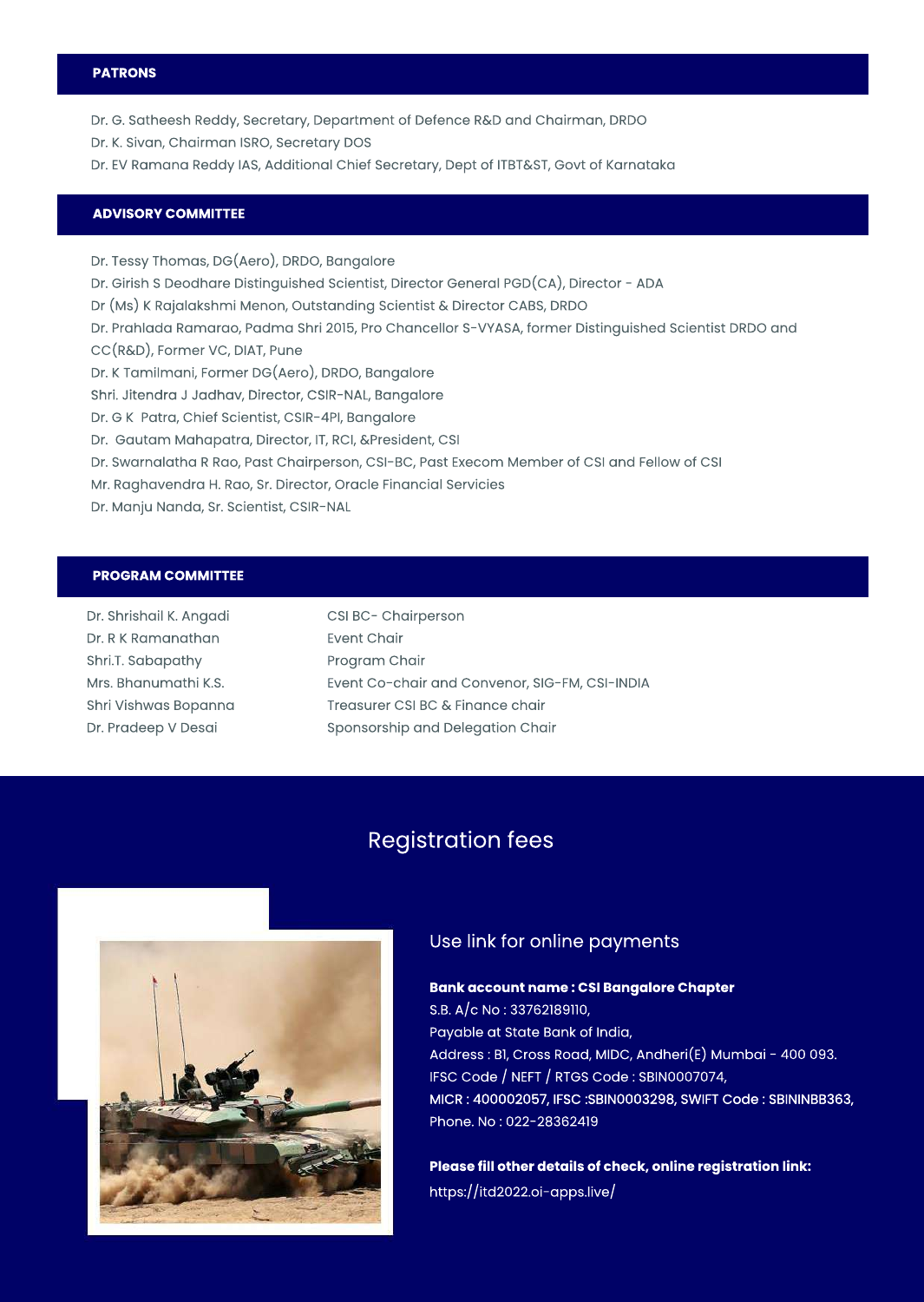CSI BC- Chairperson **Event Chair** Program Chair

Mrs. Bhanumathi K.S. Shri Vishwas Bopanna Dr. Pradeep V Desai

Event Co-chair and Convenor, SIG-FM, CSI-INDIA Treasurer CSI BC & Finance chair Sponsorship and Delegation Chair

## **Registration fees**



### Use link for online payments

### **Bank account name : CSI Bangalore Chapter**

| Dr. Shrishail K. Angadi |
|-------------------------|
| Dr. R K Ramanathan      |
| Shri.T. Sabapathy       |

### **PATRONS**

- Dr. G. Satheesh Reddy, Secretary, Department of Defence R&D and Chairman, DRDO
- Dr. K. Sivan, Chairman ISRO, Secretary DOS
- Dr. EV Ramana Reddy IAS, Additional Chief Secretary, Dept of ITBT&ST, Govt of Karnataka

S.B. A/c No: 33762189110, Payable at State Bank of India, Address: Bl, Cross Road, MIDC, Andheri(E) Mumbai - 400 093. IFSC Code / NEFT / RTGS Code: SBIN0007074, MICR: 400002057, IFSC:SBIN0003298, SWIFT Code: SBININBB363, Phone.No:022-28362419

# **Please fill other details of check, online registration link:**

### **ADVISORYCOMMITTEE**

- Dr. Tessy Thomas, DG(Aero), DRDO, Bangalore
- Dr. Girish S Deodhare Distinguished Scientist, Director General PGD(CA), Director ADA
- Dr (Ms) K Rajalakshmi Menon, Outstanding Scientist & Director CABS, DRDO
- Dr. Prahlada Ramarao, Padma Shri 2015, Pro Chancellor S-VYASA, former Distinguished Scientist DRDO and
- CC(R&D), Former VC, DIAT, Pune
- Dr. K Tamilmani, Former DG(Aero), DRDO, Bangalore
- Shri. Jitendra J Jadhav, Director, CSIR-NAL, Bangalore
- Dr. G K Patra, Chief Scientist, CSIR-4PI, Bangalore
- Dr. Gautam Mahapatra, Director, IT, RCI, &President, CSI
- Dr. Swarnalatha R Rao, Past Chairperson, CSI-BC, Past Execom Member of CSI and Fellow of CSI
- Mr. Raghavendra H. Rao, Sr. Director, Oracle Financial Servicies
- Dr. Manju Nanda, Sr. Scientist, CSIR-NAL

### **PROGRAMCOMMITTEE**

<https://itd2022.oi-apps.live/>